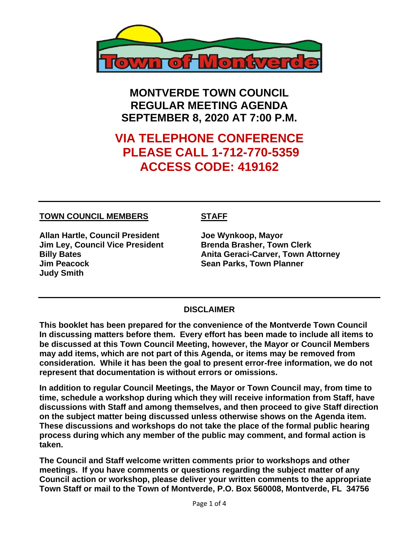

**MONTVERDE TOWN COUNCIL REGULAR MEETING AGENDA SEPTEMBER 8, 2020 AT 7:00 P.M.**

# **VIA TELEPHONE CONFERENCE PLEASE CALL 1-712-770-5359 ACCESS CODE: 419162**

#### **TOWN COUNCIL MEMBERS STAFF**

**Allan Hartle, Council President Joe Wynkoop, Mayor Jim Ley, Council Vice President Brenda Brasher, Town Clerk Jim Peacock Sean Parks, Town Planner Judy Smith** 

**Billy Bates Anita Geraci-Carver, Town Attorney**

#### **DISCLAIMER**

**This booklet has been prepared for the convenience of the Montverde Town Council In discussing matters before them. Every effort has been made to include all items to be discussed at this Town Council Meeting, however, the Mayor or Council Members may add items, which are not part of this Agenda, or items may be removed from consideration. While it has been the goal to present error-free information, we do not represent that documentation is without errors or omissions.**

**In addition to regular Council Meetings, the Mayor or Town Council may, from time to time, schedule a workshop during which they will receive information from Staff, have discussions with Staff and among themselves, and then proceed to give Staff direction on the subject matter being discussed unless otherwise shows on the Agenda item. These discussions and workshops do not take the place of the formal public hearing process during which any member of the public may comment, and formal action is taken.** 

**The Council and Staff welcome written comments prior to workshops and other meetings. If you have comments or questions regarding the subject matter of any Council action or workshop, please deliver your written comments to the appropriate Town Staff or mail to the Town of Montverde, P.O. Box 560008, Montverde, FL 34756**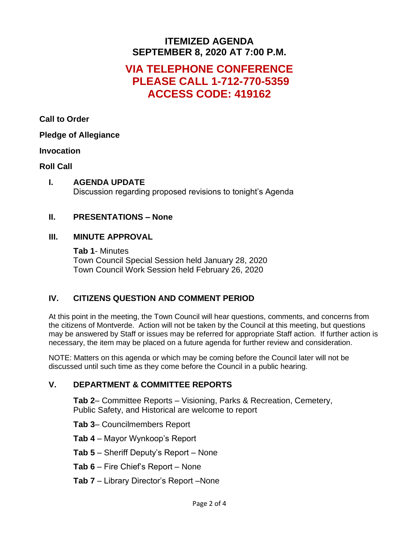### **ITEMIZED AGENDA SEPTEMBER 8, 2020 AT 7:00 P.M.**

## **VIA TELEPHONE CONFERENCE PLEASE CALL 1-712-770-5359 ACCESS CODE: 419162**

**Call to Order**

#### **Pledge of Allegiance**

#### **Invocation**

#### **Roll Call**

#### **I. AGENDA UPDATE** Discussion regarding proposed revisions to tonight's Agenda

#### **II. PRESENTATIONS – None**

#### **III. MINUTE APPROVAL**

**Tab 1**- Minutes Town Council Special Session held January 28, 2020 Town Council Work Session held February 26, 2020

#### **IV. CITIZENS QUESTION AND COMMENT PERIOD**

At this point in the meeting, the Town Council will hear questions, comments, and concerns from the citizens of Montverde. Action will not be taken by the Council at this meeting, but questions may be answered by Staff or issues may be referred for appropriate Staff action. If further action is necessary, the item may be placed on a future agenda for further review and consideration.

NOTE: Matters on this agenda or which may be coming before the Council later will not be discussed until such time as they come before the Council in a public hearing.

#### **V. DEPARTMENT & COMMITTEE REPORTS**

**Tab 2**– Committee Reports – Visioning, Parks & Recreation, Cemetery, Public Safety, and Historical are welcome to report

- **Tab 3** Councilmembers Report
- **Tab 4** Mayor Wynkoop's Report
- **Tab 5** Sheriff Deputy's Report None
- **Tab 6** Fire Chief's Report None
- **Tab 7** Library Director's Report –None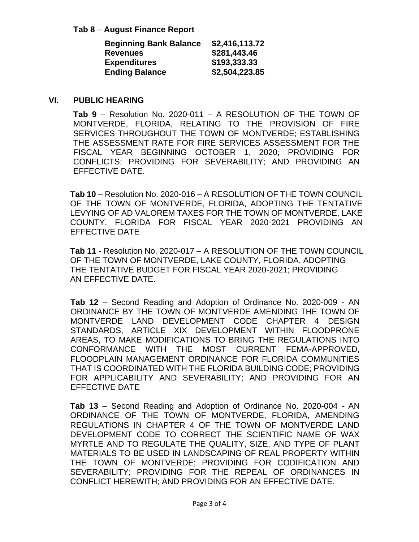**Tab 8** – **August Finance Report**

| <b>Beginning Bank Balance</b> | \$2,416,113.72 |
|-------------------------------|----------------|
| <b>Revenues</b>               | \$281,443.46   |
| <b>Expenditures</b>           | \$193,333.33   |
| <b>Ending Balance</b>         | \$2,504,223.85 |

#### **VI. PUBLIC HEARING**

**Tab 9** – Resolution No. 2020-011 – A RESOLUTION OF THE TOWN OF MONTVERDE, FLORIDA, RELATING TO THE PROVISION OF FIRE SERVICES THROUGHOUT THE TOWN OF MONTVERDE; ESTABLISHING THE ASSESSMENT RATE FOR FIRE SERVICES ASSESSMENT FOR THE FISCAL YEAR BEGINNING OCTOBER 1, 2020; PROVIDING FOR CONFLICTS; PROVIDING FOR SEVERABILITY; AND PROVIDING AN EFFECTIVE DATE.

**Tab 10** – Resolution No. 2020-016 – A RESOLUTION OF THE TOWN COUNCIL OF THE TOWN OF MONTVERDE, FLORIDA, ADOPTING THE TENTATIVE LEVYING OF AD VALOREM TAXES FOR THE TOWN OF MONTVERDE, LAKE COUNTY, FLORIDA FOR FISCAL YEAR 2020-2021 PROVIDING AN EFFECTIVE DATE

**Tab 11** - Resolution No. 2020-017 – A RESOLUTION OF THE TOWN COUNCIL OF THE TOWN OF MONTVERDE, LAKE COUNTY, FLORIDA, ADOPTING THE TENTATIVE BUDGET FOR FISCAL YEAR 2020-2021; PROVIDING AN EFFECTIVE DATE.

**Tab 12** – Second Reading and Adoption of Ordinance No. 2020-009 - AN ORDINANCE BY THE TOWN OF MONTVERDE AMENDING THE TOWN OF MONTVERDE LAND DEVELOPMENT CODE CHAPTER 4 DESIGN STANDARDS, ARTICLE XIX DEVELOPMENT WITHIN FLOODPRONE AREAS, TO MAKE MODIFICATIONS TO BRING THE REGULATIONS INTO CONFORMANCE WITH THE MOST CURRENT FEMA-APPROVED, FLOODPLAIN MANAGEMENT ORDINANCE FOR FLORIDA COMMUNITIES THAT IS COORDINATED WITH THE FLORIDA BUILDING CODE; PROVIDING FOR APPLICABILITY AND SEVERABILITY; AND PROVIDING FOR AN EFFECTIVE DATE

**Tab 13** – Second Reading and Adoption of Ordinance No. 2020-004 - AN ORDINANCE OF THE TOWN OF MONTVERDE, FLORIDA, AMENDING REGULATIONS IN CHAPTER 4 OF THE TOWN OF MONTVERDE LAND DEVELOPMENT CODE TO CORRECT THE SCIENTIFIC NAME OF WAX MYRTLE AND TO REGULATE THE QUALITY, SIZE, AND TYPE OF PLANT MATERIALS TO BE USED IN LANDSCAPING OF REAL PROPERTY WITHIN THE TOWN OF MONTVERDE; PROVIDING FOR CODIFICATION AND SEVERABILITY; PROVIDING FOR THE REPEAL OF ORDINANCES IN CONFLICT HEREWITH; AND PROVIDING FOR AN EFFECTIVE DATE.